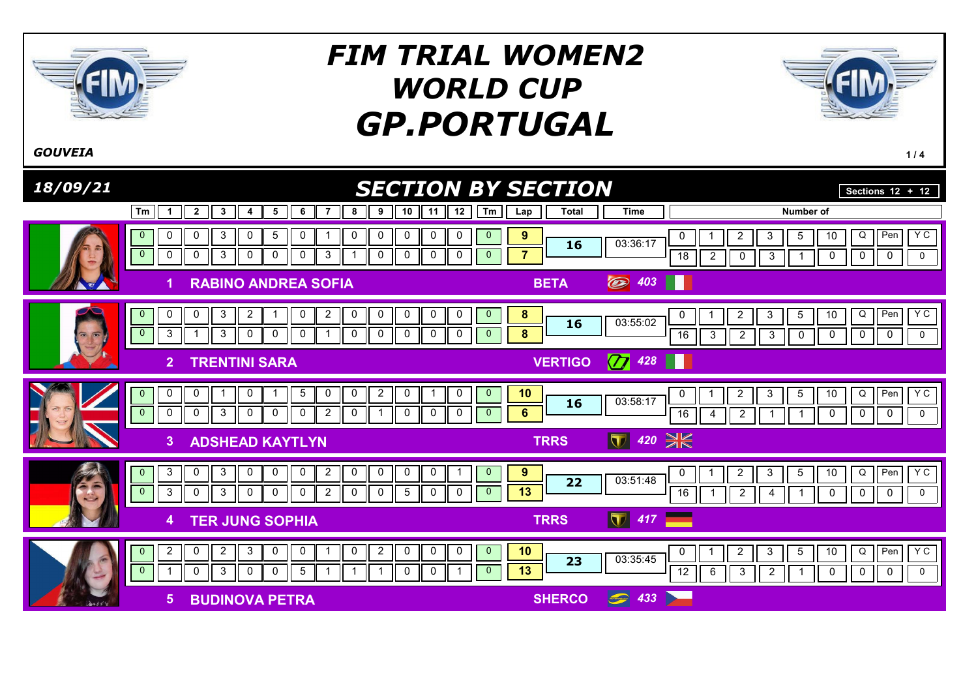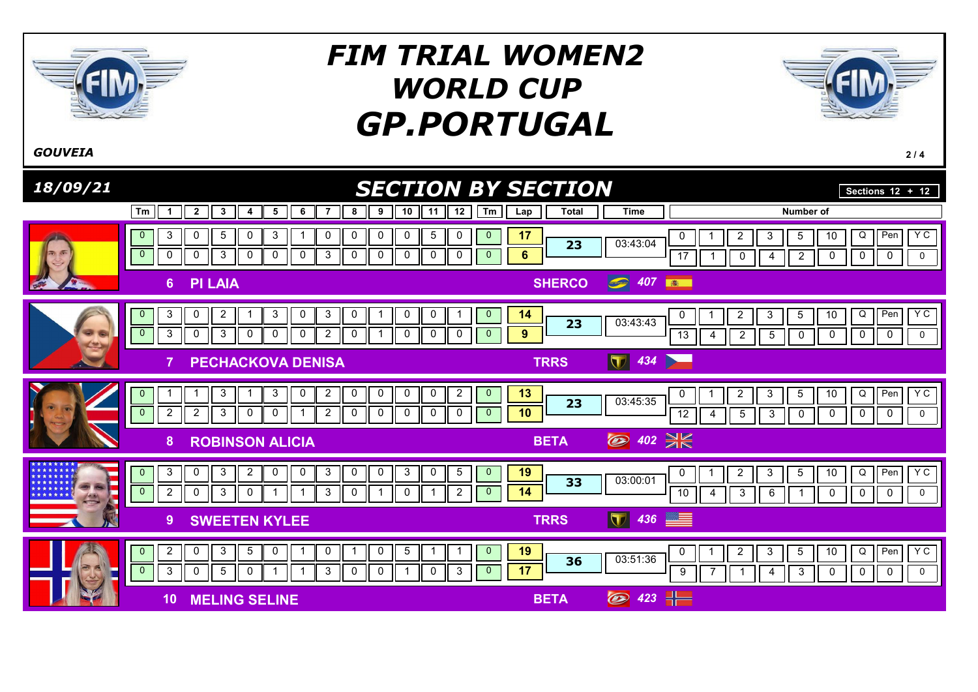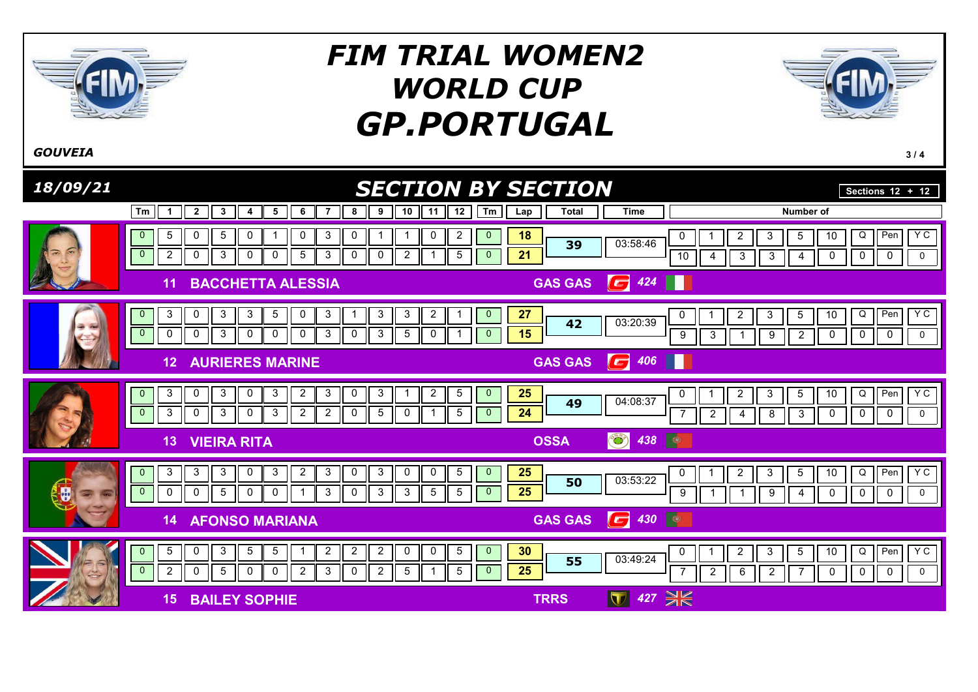

 $\overline{0}$ 

 $\overline{0}$